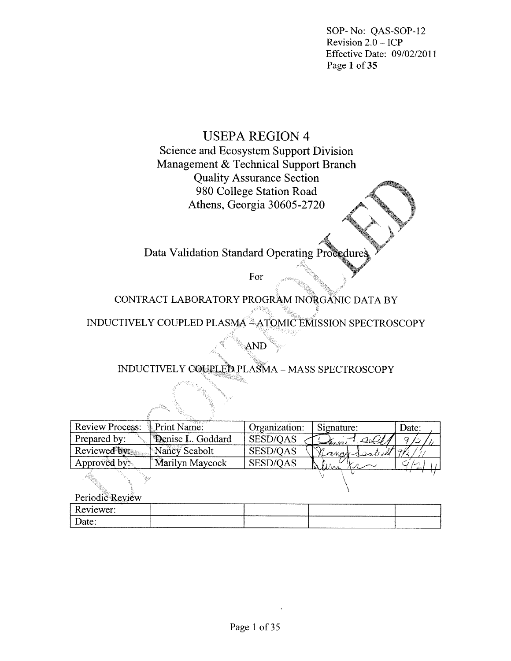SOP-No: QAS-SOP-12 Revision  $2.0 - ICP$ Effective Date: 09/02/2011 Page 1 of 35

# **USEPA REGION 4**

Science and Ecosystem Support Division Management & Technical Support Branch **Quality Assurance Section** 980 College Station Road Athens, Georgia 30605-2720

Data Validation Standard Operating Procedure

For

CONTRACT LABORATORY PROGRAM INORGANIC DATA BY

INDUCTIVELY COUPLED PLASMA<sup>24</sup>ATOMIC EMISSION SPECTROSCOPY

INDUCTIVELY COUPLED PLASMA - MASS SPECTROSCOPY

AND

| Review Process: <i>Print Name:</i> | $14.59 - 12.5$    | Organization: | Signature:                                 | Date:      |
|------------------------------------|-------------------|---------------|--------------------------------------------|------------|
| Prepared by:                       | Denise L. Goddard | SESD/OAS      | $\mathcal{L}(\mathcal{L})$<br>$=$ from $-$ | $\sqrt{2}$ |
| Reviewed by:                       | Nancy Seabolt     | SESD/OAS      | Rancy Sealed                               |            |
| Approved by:                       | Marilyn Maycock   | SESD/QAS      |                                            |            |
|                                    |                   |               |                                            |            |

Periodic Review

| ___<br>Reviewer:   | _______________________ | ___________________ | -------------------------------------- |         |
|--------------------|-------------------------|---------------------|----------------------------------------|---------|
| $\mathcal{L}$ ate: |                         |                     |                                        | ------- |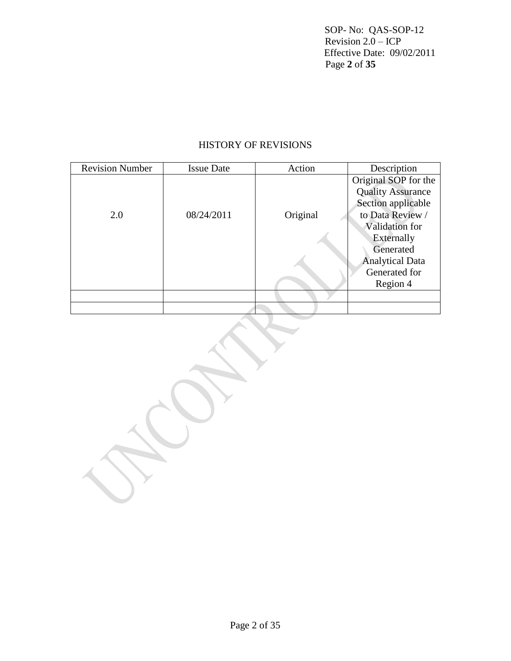SOP- No: QAS-SOP-12 Revision 2.0 – ICP Effective Date: 09/02/2011 Page **2** of **35**

# HISTORY OF REVISIONS

| <b>Revision Number</b> | <b>Issue Date</b> | Action   | Description              |
|------------------------|-------------------|----------|--------------------------|
|                        |                   |          | Original SOP for the     |
|                        |                   |          | <b>Quality Assurance</b> |
|                        |                   |          | Section applicable       |
| 2.0                    | 08/24/2011        | Original | to Data Review /         |
|                        |                   |          | Validation for           |
|                        |                   |          | Externally               |
|                        |                   |          | Generated                |
|                        |                   |          | <b>Analytical Data</b>   |
|                        |                   |          | Generated for            |
|                        |                   |          | Region 4                 |
|                        |                   |          |                          |
|                        |                   |          |                          |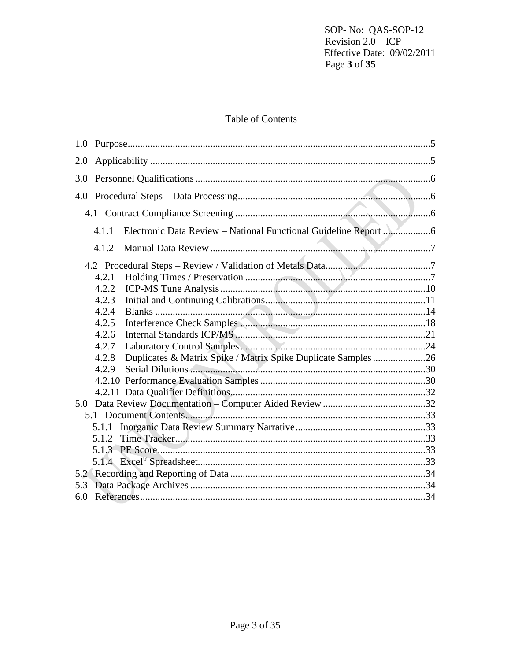SOP-No: QAS-SOP-12 Revision  $2.0 - ICP$ Effective Date: 09/02/2011 Page 3 of 35

# Table of Contents

| 1.0 |        |                                                               |  |
|-----|--------|---------------------------------------------------------------|--|
| 2.0 |        |                                                               |  |
| 3.0 |        |                                                               |  |
| 4.0 |        |                                                               |  |
|     |        |                                                               |  |
|     | 4.1.1  |                                                               |  |
|     | 4.1.2. |                                                               |  |
|     |        |                                                               |  |
|     | 4.2.1  |                                                               |  |
|     | 4.2.2  |                                                               |  |
|     | 4.2.3  |                                                               |  |
|     | 4.2.4  |                                                               |  |
|     | 4.2.5  |                                                               |  |
|     | 4.2.6  |                                                               |  |
|     | 4.2.7  |                                                               |  |
|     | 4.2.8  | Duplicates & Matrix Spike / Matrix Spike Duplicate Samples 26 |  |
|     | 4.2.9  |                                                               |  |
|     |        |                                                               |  |
|     |        |                                                               |  |
|     |        |                                                               |  |
|     |        |                                                               |  |
|     | 5.1.1  |                                                               |  |
|     | 5.1.2  |                                                               |  |
|     |        |                                                               |  |
|     |        |                                                               |  |
| 5.2 |        |                                                               |  |
| 5.3 |        |                                                               |  |
| 6.0 |        |                                                               |  |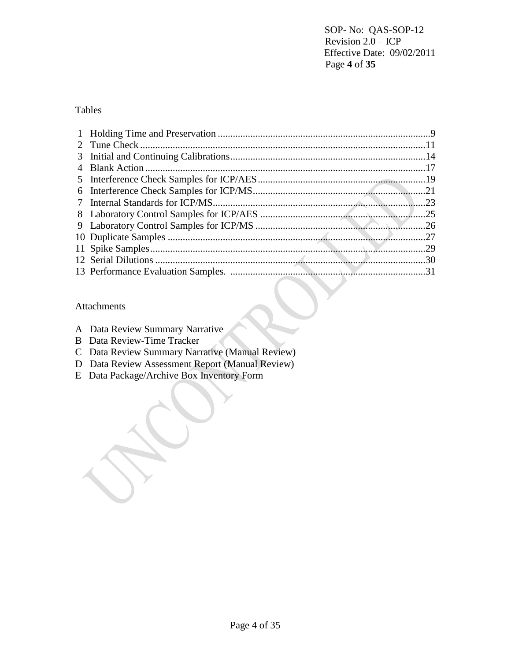SOP- No: QAS-SOP-12 Revision 2.0 – ICP Effective Date: 09/02/2011 Page **4** of **35**

# Tables

| 4 |     |
|---|-----|
|   |     |
|   |     |
|   |     |
|   |     |
|   |     |
|   |     |
|   | .29 |
|   |     |
|   |     |

### Attachments

|  | A Data Review Summary Narrative |  |
|--|---------------------------------|--|
|  |                                 |  |

- B Data Review-Time Tracker
- C Data Review Summary Narrative (Manual Review)
- D Data Review Assessment Report (Manual Review)
- E Data Package/Archive Box Inventory Form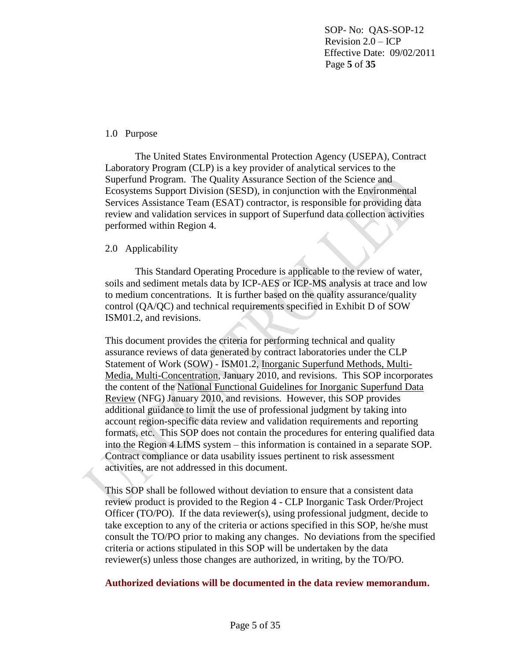SOP- No: QAS-SOP-12 Revision 2.0 – ICP Effective Date: 09/02/2011 Page **5** of **35**

### 1.0 Purpose

The United States Environmental Protection Agency (USEPA), Contract Laboratory Program (CLP) is a key provider of analytical services to the Superfund Program. The Quality Assurance Section of the Science and Ecosystems Support Division (SESD), in conjunction with the Environmental Services Assistance Team (ESAT) contractor, is responsible for providing data review and validation services in support of Superfund data collection activities performed within Region 4.

#### 2.0 Applicability

This Standard Operating Procedure is applicable to the review of water, soils and sediment metals data by ICP-AES or ICP-MS analysis at trace and low to medium concentrations. It is further based on the quality assurance/quality control (QA/QC) and technical requirements specified in Exhibit D of SOW ISM01.2, and revisions.

This document provides the criteria for performing technical and quality assurance reviews of data generated by contract laboratories under the CLP Statement of Work (SOW) - ISM01.2, Inorganic Superfund Methods, Multi-Media, Multi-Concentration, January 2010, and revisions. This SOP incorporates the content of the National Functional Guidelines for Inorganic Superfund Data Review (NFG) January 2010, and revisions. However, this SOP provides additional guidance to limit the use of professional judgment by taking into account region-specific data review and validation requirements and reporting formats, etc. This SOP does not contain the procedures for entering qualified data into the Region 4 LIMS system – this information is contained in a separate SOP. Contract compliance or data usability issues pertinent to risk assessment activities, are not addressed in this document.

This SOP shall be followed without deviation to ensure that a consistent data review product is provided to the Region 4 - CLP Inorganic Task Order/Project Officer (TO/PO). If the data reviewer(s), using professional judgment, decide to take exception to any of the criteria or actions specified in this SOP, he/she must consult the TO/PO prior to making any changes. No deviations from the specified criteria or actions stipulated in this SOP will be undertaken by the data reviewer(s) unless those changes are authorized, in writing, by the TO/PO.

**Authorized deviations will be documented in the data review memorandum.**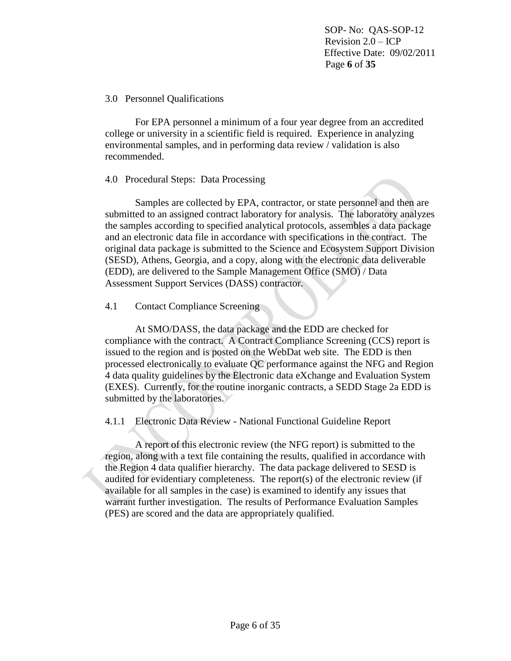SOP- No: QAS-SOP-12 Revision 2.0 – ICP Effective Date: 09/02/2011 Page **6** of **35**

### 3.0 Personnel Qualifications

For EPA personnel a minimum of a four year degree from an accredited college or university in a scientific field is required. Experience in analyzing environmental samples, and in performing data review / validation is also recommended.

## 4.0 Procedural Steps: Data Processing

Samples are collected by EPA, contractor, or state personnel and then are submitted to an assigned contract laboratory for analysis. The laboratory analyzes the samples according to specified analytical protocols, assembles a data package and an electronic data file in accordance with specifications in the contract. The original data package is submitted to the Science and Ecosystem Support Division (SESD), Athens, Georgia, and a copy, along with the electronic data deliverable (EDD), are delivered to the Sample Management Office (SMO) / Data Assessment Support Services (DASS) contractor.

### 4.1 Contact Compliance Screening

At SMO/DASS, the data package and the EDD are checked for compliance with the contract. A Contract Compliance Screening (CCS) report is issued to the region and is posted on the WebDat web site. The EDD is then processed electronically to evaluate QC performance against the NFG and Region 4 data quality guidelines by the Electronic data eXchange and Evaluation System (EXES). Currently, for the routine inorganic contracts, a SEDD Stage 2a EDD is submitted by the laboratories.

4.1.1 Electronic Data Review - National Functional Guideline Report

A report of this electronic review (the NFG report) is submitted to the region, along with a text file containing the results, qualified in accordance with the Region 4 data qualifier hierarchy. The data package delivered to SESD is audited for evidentiary completeness. The report(s) of the electronic review (if available for all samples in the case) is examined to identify any issues that warrant further investigation. The results of Performance Evaluation Samples (PES) are scored and the data are appropriately qualified.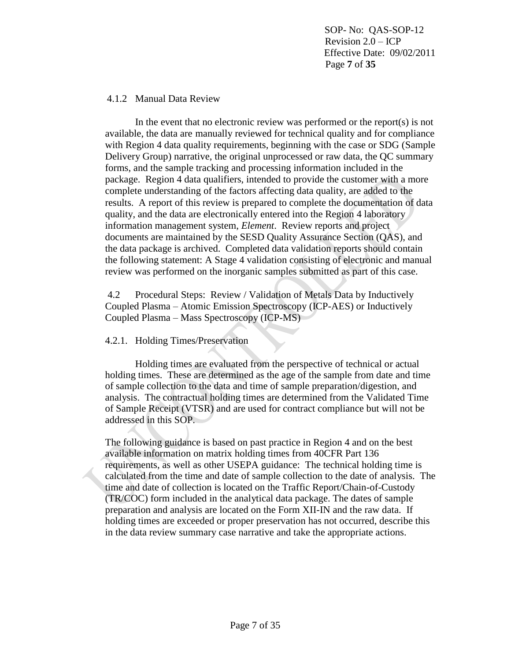SOP- No: QAS-SOP-12 Revision 2.0 – ICP Effective Date: 09/02/2011 Page **7** of **35**

#### 4.1.2 Manual Data Review

In the event that no electronic review was performed or the report(s) is not available, the data are manually reviewed for technical quality and for compliance with Region 4 data quality requirements, beginning with the case or SDG (Sample Delivery Group) narrative, the original unprocessed or raw data, the QC summary forms, and the sample tracking and processing information included in the package. Region 4 data qualifiers, intended to provide the customer with a more complete understanding of the factors affecting data quality, are added to the results. A report of this review is prepared to complete the documentation of data quality, and the data are electronically entered into the Region 4 laboratory information management system, *Element*. Review reports and project documents are maintained by the SESD Quality Assurance Section (QAS), and the data package is archived. Completed data validation reports should contain the following statement: A Stage 4 validation consisting of electronic and manual review was performed on the inorganic samples submitted as part of this case.

4.2 Procedural Steps: Review / Validation of Metals Data by Inductively Coupled Plasma – Atomic Emission Spectroscopy (ICP-AES) or Inductively Coupled Plasma – Mass Spectroscopy (ICP-MS)

### 4.2.1. Holding Times/Preservation

Holding times are evaluated from the perspective of technical or actual holding times. These are determined as the age of the sample from date and time of sample collection to the data and time of sample preparation/digestion, and analysis. The contractual holding times are determined from the Validated Time of Sample Receipt (VTSR) and are used for contract compliance but will not be addressed in this SOP.

The following guidance is based on past practice in Region 4 and on the best available information on matrix holding times from 40CFR Part 136 requirements, as well as other USEPA guidance: The technical holding time is calculated from the time and date of sample collection to the date of analysis. The time and date of collection is located on the Traffic Report/Chain-of-Custody (TR/COC) form included in the analytical data package. The dates of sample preparation and analysis are located on the Form XII-IN and the raw data. If holding times are exceeded or proper preservation has not occurred, describe this in the data review summary case narrative and take the appropriate actions.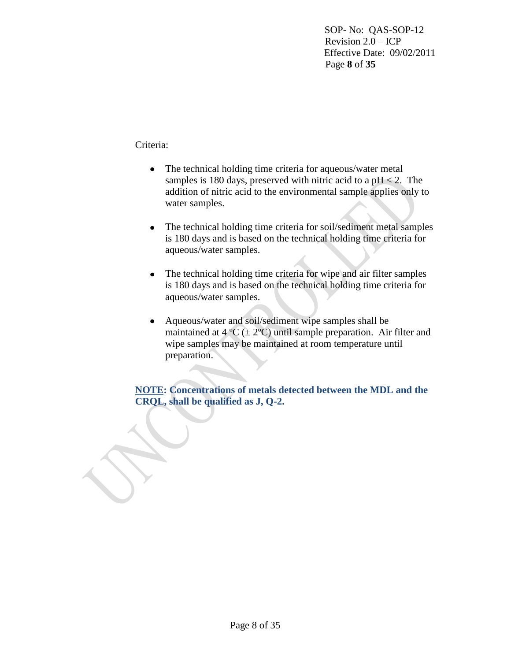SOP- No: QAS-SOP-12 Revision 2.0 – ICP Effective Date: 09/02/2011 Page **8** of **35**

Criteria:

- The technical holding time criteria for aqueous/water metal samples is 180 days, preserved with nitric acid to a  $pH < 2$ . The addition of nitric acid to the environmental sample applies only to water samples.
- The technical holding time criteria for soil/sediment metal samples is 180 days and is based on the technical holding time criteria for aqueous/water samples.
- The technical holding time criteria for wipe and air filter samples  $\bullet$ is 180 days and is based on the technical holding time criteria for aqueous/water samples.
- Aqueous/water and soil/sediment wipe samples shall be maintained at  $4^{\circ}C \left( \pm 2^{\circ}C \right)$  until sample preparation. Air filter and wipe samples may be maintained at room temperature until preparation.

**NOTE: Concentrations of metals detected between the MDL and the CRQL, shall be qualified as J, Q-2.**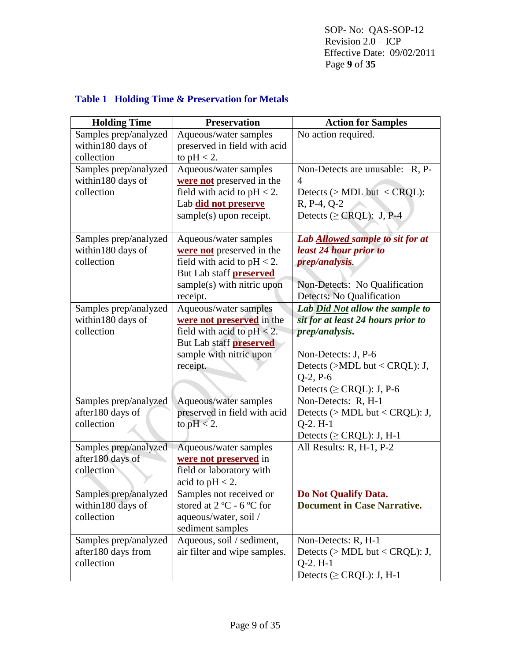SOP- No: QAS-SOP-12 Revision  $2.\overline{0}$  – ICP Effective Date: 09/02/2011 Page **9** of **35**

| <b>Table 1 Holding Time &amp; Preservation for Metals</b> |
|-----------------------------------------------------------|
|-----------------------------------------------------------|

| <b>Holding Time</b>                                       | <b>Preservation</b>                                                                                                                                             | <b>Action for Samples</b>                                                                                                                                                                          |
|-----------------------------------------------------------|-----------------------------------------------------------------------------------------------------------------------------------------------------------------|----------------------------------------------------------------------------------------------------------------------------------------------------------------------------------------------------|
| Samples prep/analyzed<br>within180 days of<br>collection  | Aqueous/water samples<br>preserved in field with acid<br>to $pH < 2$ .                                                                                          | No action required.                                                                                                                                                                                |
| Samples prep/analyzed<br>within180 days of<br>collection  | Aqueous/water samples<br>were not preserved in the<br>field with acid to $pH < 2$ .<br>Lab did not preserve<br>$sample(s)$ upon receipt.                        | Non-Detects are unusable: R, P-<br>$\overline{4}$<br>Detects $($ > MDL but < CRQL):<br>$R, P-4, Q-2$<br>Detects ( $\geq$ CRQL): J, P-4                                                             |
| Samples prep/analyzed<br>within180 days of<br>collection  | Aqueous/water samples<br>were not preserved in the<br>field with acid to $pH < 2$ .<br>But Lab staff <b>preserved</b><br>sample(s) with nitric upon<br>receipt. | Lab <b>Allowed</b> sample to sit for at<br>least 24 hour prior to<br>prep/analysis.<br>Non-Detects: No Qualification<br>Detects: No Qualification                                                  |
| Samples prep/analyzed<br>within180 days of<br>collection  | Aqueous/water samples<br>were not preserved in the<br>field with acid to $pH < 2$ .<br>But Lab staff <b>preserved</b><br>sample with nitric upon<br>receipt.    | Lab Did Not allow the sample to<br>sit for at least 24 hours prior to<br>prep/analysis.<br>Non-Detects: J, P-6<br>Detects ( $>MDL$ but < CRQL): J,<br>$Q-2, P-6$<br>Detects ( $\geq$ CRQL): J, P-6 |
| Samples prep/analyzed<br>after180 days of<br>collection   | Aqueous/water samples<br>preserved in field with acid<br>to $pH < 2$ .                                                                                          | Non-Detects: R, H-1<br>Detects ( $> MDL$ but < CRQL): J,<br>$Q-2. H-1$<br>Detects ( $\geq$ CRQL): J, H-1                                                                                           |
| Samples prep/analyzed<br>after180 days of<br>colléction   | Aqueous/water samples<br>were not preserved in<br>field or laboratory with<br>acid to $pH < 2$ .                                                                | All Results: R, H-1, P-2                                                                                                                                                                           |
| Samples prep/analyzed<br>within180 days of<br>collection  | Samples not received or<br>stored at $2^{\circ}$ C - 6 $^{\circ}$ C for<br>aqueous/water, soil /<br>sediment samples                                            | Do Not Qualify Data.<br><b>Document in Case Narrative.</b>                                                                                                                                         |
| Samples prep/analyzed<br>after180 days from<br>collection | Aqueous, soil / sediment,<br>air filter and wipe samples.                                                                                                       | Non-Detects: R, H-1<br>Detects ( $>$ MDL but < CRQL): J,<br>$Q-2. H-1$<br>Detects ( $\geq$ CRQL): J, H-1                                                                                           |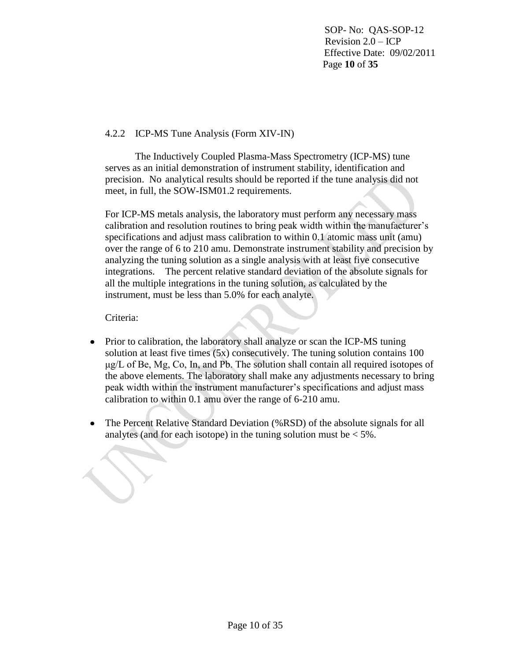SOP- No: QAS-SOP-12 Revision 2.0 – ICP Effective Date: 09/02/2011 Page **10** of **35**

# 4.2.2 ICP-MS Tune Analysis (Form XIV-IN)

The Inductively Coupled Plasma-Mass Spectrometry (ICP-MS) tune serves as an initial demonstration of instrument stability, identification and precision. No analytical results should be reported if the tune analysis did not meet, in full, the SOW-ISM01.2 requirements.

For ICP-MS metals analysis, the laboratory must perform any necessary mass calibration and resolution routines to bring peak width within the manufacturer's specifications and adjust mass calibration to within 0.1 atomic mass unit (amu) over the range of 6 to 210 amu. Demonstrate instrument stability and precision by analyzing the tuning solution as a single analysis with at least five consecutive integrations. The percent relative standard deviation of the absolute signals for all the multiple integrations in the tuning solution, as calculated by the instrument, must be less than 5.0% for each analyte.

## Criteria:

- Prior to calibration, the laboratory shall analyze or scan the ICP-MS tuning  $\bullet$ solution at least five times (5x) consecutively. The tuning solution contains 100 μg/L of Be, Mg, Co, In, and Pb. The solution shall contain all required isotopes of the above elements. The laboratory shall make any adjustments necessary to bring peak width within the instrument manufacturer's specifications and adjust mass calibration to within 0.1 amu over the range of 6-210 amu.
- The Percent Relative Standard Deviation (%RSD) of the absolute signals for all analytes (and for each isotope) in the tuning solution must be  $< 5\%$ .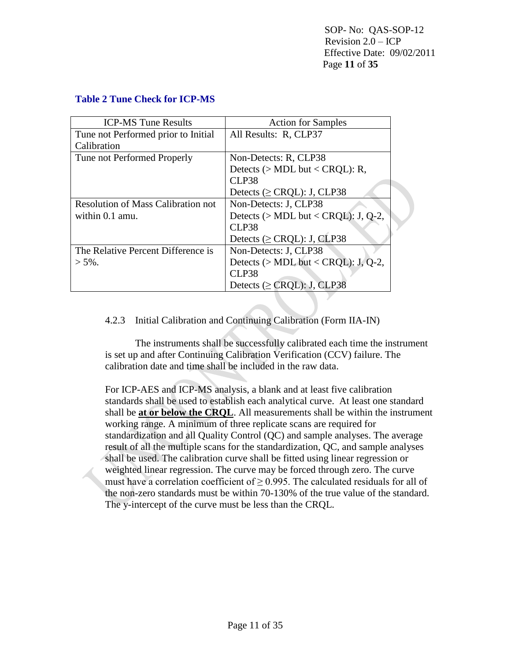SOP- No: QAS-SOP-12 Revision 2.0 – ICP Effective Date: 09/02/2011 Page **11** of **35**

| <b>ICP-MS Tune Results</b>                | <b>Action for Samples</b>              |
|-------------------------------------------|----------------------------------------|
| Tune not Performed prior to Initial       | All Results: R, CLP37                  |
| Calibration                               |                                        |
| Tune not Performed Properly               | Non-Detects: R. CLP38                  |
|                                           | Detects ( $>$ MDL but < CRQL): R,      |
|                                           | CLP38                                  |
|                                           | Detects ( $\geq$ CRQL): J, CLP38       |
| <b>Resolution of Mass Calibration not</b> | Non-Detects: J. CLP38                  |
| within 0.1 amu.                           | Detects ( $>$ MDL but < CRQL): J, Q-2, |
|                                           | CLP38                                  |
|                                           | Detects ( $\geq$ CRQL): J, CLP38       |
| The Relative Percent Difference is        | Non-Detects: J. CLP38                  |
| $> 5\%$ .                                 | Detects ( $> MDL$ but < CRQL): J, Q-2, |
|                                           | CLP38                                  |
|                                           | Detects ( $\geq$ CRQL): J, CLP38       |

### **Table 2 Tune Check for ICP-MS**

### 4.2.3 Initial Calibration and Continuing Calibration (Form IIA-IN)

The instruments shall be successfully calibrated each time the instrument is set up and after Continuing Calibration Verification (CCV) failure. The calibration date and time shall be included in the raw data.

For ICP-AES and ICP-MS analysis, a blank and at least five calibration standards shall be used to establish each analytical curve. At least one standard shall be **at or below the CRQL**. All measurements shall be within the instrument working range. A minimum of three replicate scans are required for standardization and all Quality Control (QC) and sample analyses. The average result of all the multiple scans for the standardization, QC, and sample analyses shall be used. The calibration curve shall be fitted using linear regression or weighted linear regression. The curve may be forced through zero. The curve must have a correlation coefficient of  $\geq$  0.995. The calculated residuals for all of the non-zero standards must be within 70-130% of the true value of the standard. The y-intercept of the curve must be less than the CRQL.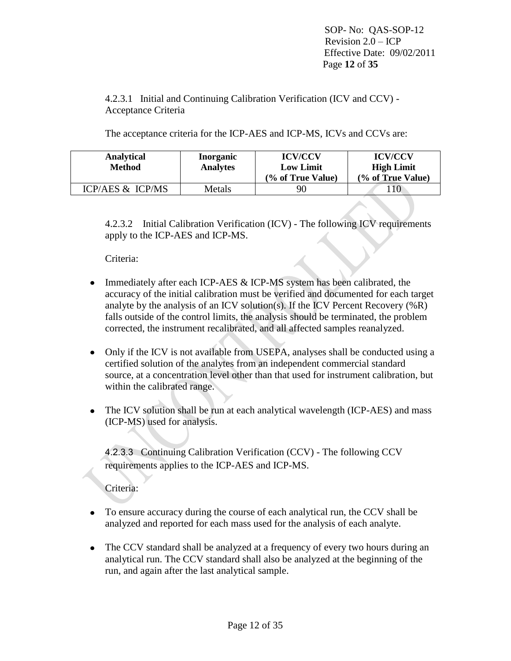SOP- No: QAS-SOP-12 Revision  $2.0 - ICP$  Effective Date: 09/02/2011 Page **12** of **35**

4.2.3.1 Initial and Continuing Calibration Verification (ICV and CCV) - Acceptance Criteria

The acceptance criteria for the ICP-AES and ICP-MS, ICVs and CCVs are:

| <b>Analytical</b><br>Method | <b>Inorganic</b><br><b>Analytes</b> | <b>ICV/CCV</b><br><b>Low Limit</b><br>(% of True Value) | <b>ICV/CCV</b><br><b>High Limit</b><br>(% of True Value) |
|-----------------------------|-------------------------------------|---------------------------------------------------------|----------------------------------------------------------|
|                             |                                     |                                                         |                                                          |
| ICP/AES & ICP/MS            | Metals                              | 90                                                      | 10                                                       |

4.2.3.2 Initial Calibration Verification (ICV) - The following ICV requirements apply to the ICP-AES and ICP-MS.

Criteria:

- Immediately after each ICP-AES & ICP-MS system has been calibrated, the  $\bullet$ accuracy of the initial calibration must be verified and documented for each target analyte by the analysis of an ICV solution(s). If the ICV Percent Recovery  $(\%R)$ falls outside of the control limits, the analysis should be terminated, the problem corrected, the instrument recalibrated, and all affected samples reanalyzed.
- Only if the ICV is not available from USEPA, analyses shall be conducted using a certified solution of the analytes from an independent commercial standard source, at a concentration level other than that used for instrument calibration, but within the calibrated range.
- The ICV solution shall be run at each analytical wavelength (ICP-AES) and mass (ICP-MS) used for analysis.

4.2.3.3 Continuing Calibration Verification (CCV) - The following CCV requirements applies to the ICP-AES and ICP-MS.

Criteria:

- To ensure accuracy during the course of each analytical run, the CCV shall be analyzed and reported for each mass used for the analysis of each analyte.
- The CCV standard shall be analyzed at a frequency of every two hours during an analytical run. The CCV standard shall also be analyzed at the beginning of the run, and again after the last analytical sample.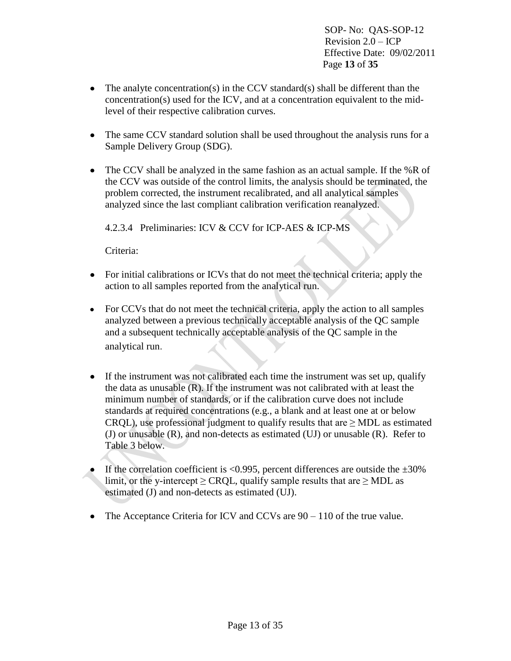SOP- No: QAS-SOP-12 Revision  $2.0 - ICP$  Effective Date: 09/02/2011 Page **13** of **35**

- The analyte concentration(s) in the CCV standard(s) shall be different than the concentration(s) used for the ICV, and at a concentration equivalent to the midlevel of their respective calibration curves.
- The same CCV standard solution shall be used throughout the analysis runs for a Sample Delivery Group (SDG).
- The CCV shall be analyzed in the same fashion as an actual sample. If the %R of the CCV was outside of the control limits, the analysis should be terminated, the problem corrected, the instrument recalibrated, and all analytical samples analyzed since the last compliant calibration verification reanalyzed.

4.2.3.4 Preliminaries: ICV & CCV for ICP-AES & ICP-MS

Criteria:

- For initial calibrations or ICVs that do not meet the technical criteria; apply the action to all samples reported from the analytical run.
- For CCVs that do not meet the technical criteria, apply the action to all samples analyzed between a previous technically acceptable analysis of the QC sample and a subsequent technically acceptable analysis of the QC sample in the analytical run.
- If the instrument was not calibrated each time the instrument was set up, qualify the data as unusable (R). If the instrument was not calibrated with at least the minimum number of standards, or if the calibration curve does not include standards at required concentrations (e.g., a blank and at least one at or below CRQL), use professional judgment to qualify results that are  $\geq$  MDL as estimated (J) or unusable (R), and non-detects as estimated (UJ) or unusable (R). Refer to Table 3 below.
- If the correlation coefficient is  $\langle 0.995,$  percent differences are outside the  $\pm 30\%$ limit, or the y-intercept  $\geq$  CRQL, qualify sample results that are  $\geq$  MDL as estimated (J) and non-detects as estimated (UJ).
- The Acceptance Criteria for ICV and CCVs are  $90 110$  of the true value.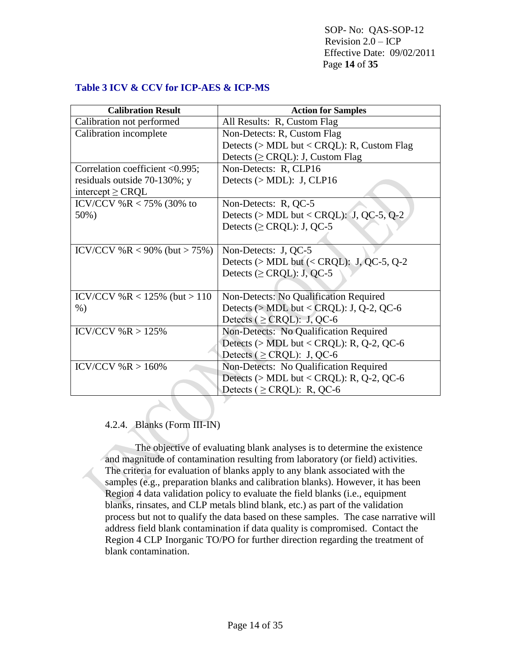SOP- No: QAS-SOP-12 Revision 2.0 – ICP Effective Date: 09/02/2011 Page **14** of **35**

## **Table 3 ICV & CCV for ICP-AES & ICP-MS**

| <b>Calibration Result</b>       | <b>Action for Samples</b>                       |
|---------------------------------|-------------------------------------------------|
| Calibration not performed       | All Results: R, Custom Flag                     |
| Calibration incomplete          | Non-Detects: R, Custom Flag                     |
|                                 | Detects ( $>$ MDL but < CRQL): R, Custom Flag   |
|                                 | Detects ( $\geq$ CRQL): J, Custom Flag          |
| Correlation coefficient <0.995; | Non-Detects: R, CLP16                           |
| residuals outside 70-130%; y    | Detects $(>MDL)$ : J, CLP16                     |
| intercept $\geq$ CRQL           |                                                 |
| ICV/CCV %R < 75% (30% to        | Non-Detects: R, QC-5                            |
| 50%)                            | Detects ( $>$ MDL but < CRQL): J, QC-5, Q-2     |
|                                 | Detects ( $\geq$ CRQL): J, QC-5                 |
|                                 |                                                 |
| ICV/CCV %R < 90% (but > 75%)    | Non-Detects: J, QC-5                            |
|                                 | Detects ( $>$ MDL but ( $<$ CRQL): J, QC-5, Q-2 |
|                                 | Detects ( $\geq$ CRQL): J, QC-5                 |
|                                 |                                                 |
| ICV/CCV %R < $125%$ (but > 110  | Non-Detects: No Qualification Required          |
| $%$ )                           | Detects ( $>$ MDL but < CRQL): J, Q-2, QC-6     |
|                                 | Detects ( $\geq$ CRQL): J, QC-6                 |
| ICV/CCV % R > 125%              | Non-Detects: No Qualification Required          |
|                                 | Detects ( $>$ MDL but < CRQL): R, Q-2, QC-6     |
|                                 | Detects ( $\geq$ CRQL): J, QC-6                 |
| ICV/CCV % R > 160%              | Non-Detects: No Qualification Required          |
|                                 | Detects ( $>$ MDL but < CRQL): R, Q-2, QC-6     |
|                                 | Detects ( $\geq$ CRQL): R, QC-6                 |

# 4.2.4. Blanks (Form III-IN)

The objective of evaluating blank analyses is to determine the existence and magnitude of contamination resulting from laboratory (or field) activities. The criteria for evaluation of blanks apply to any blank associated with the samples (e.g., preparation blanks and calibration blanks). However, it has been Region 4 data validation policy to evaluate the field blanks (i.e., equipment blanks, rinsates, and CLP metals blind blank, etc.) as part of the validation process but not to qualify the data based on these samples. The case narrative will address field blank contamination if data quality is compromised. Contact the Region 4 CLP Inorganic TO/PO for further direction regarding the treatment of blank contamination.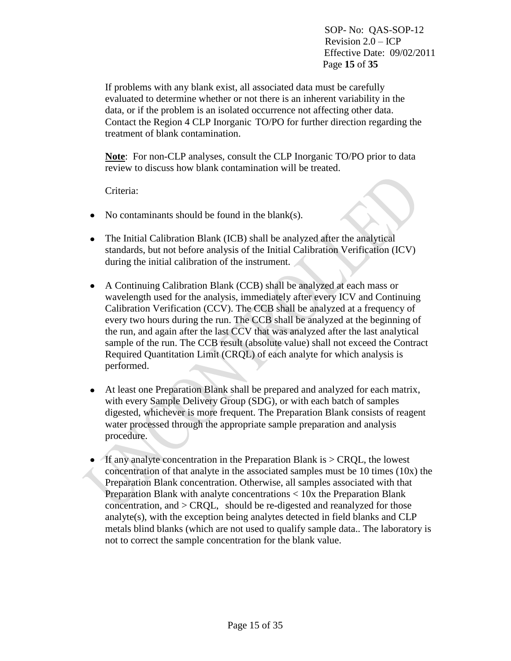SOP- No: QAS-SOP-12 Revision  $2.0 - ICP$  Effective Date: 09/02/2011 Page **15** of **35**

If problems with any blank exist, all associated data must be carefully evaluated to determine whether or not there is an inherent variability in the data, or if the problem is an isolated occurrence not affecting other data. Contact the Region 4 CLP Inorganic TO/PO for further direction regarding the treatment of blank contamination.

**Note**: For non-CLP analyses, consult the CLP Inorganic TO/PO prior to data review to discuss how blank contamination will be treated.

Criteria:

- $\bullet$  No contaminants should be found in the blank(s).
- The Initial Calibration Blank (ICB) shall be analyzed after the analytical standards, but not before analysis of the Initial Calibration Verification (ICV) during the initial calibration of the instrument.
- A Continuing Calibration Blank (CCB) shall be analyzed at each mass or wavelength used for the analysis, immediately after every ICV and Continuing Calibration Verification (CCV). The CCB shall be analyzed at a frequency of every two hours during the run. The CCB shall be analyzed at the beginning of the run, and again after the last CCV that was analyzed after the last analytical sample of the run. The CCB result (absolute value) shall not exceed the Contract Required Quantitation Limit (CRQL) of each analyte for which analysis is performed.
- At least one Preparation Blank shall be prepared and analyzed for each matrix,  $\bullet$ with every Sample Delivery Group (SDG), or with each batch of samples digested, whichever is more frequent. The Preparation Blank consists of reagent water processed through the appropriate sample preparation and analysis procedure.
- If any analyte concentration in the Preparation Blank is  $>$  CROL, the lowest concentration of that analyte in the associated samples must be  $10$  times  $(10x)$  the Preparation Blank concentration. Otherwise, all samples associated with that Preparation Blank with analyte concentrations < 10x the Preparation Blank concentration, and > CRQL, should be re-digested and reanalyzed for those analyte(s), with the exception being analytes detected in field blanks and CLP metals blind blanks (which are not used to qualify sample data.. The laboratory is not to correct the sample concentration for the blank value.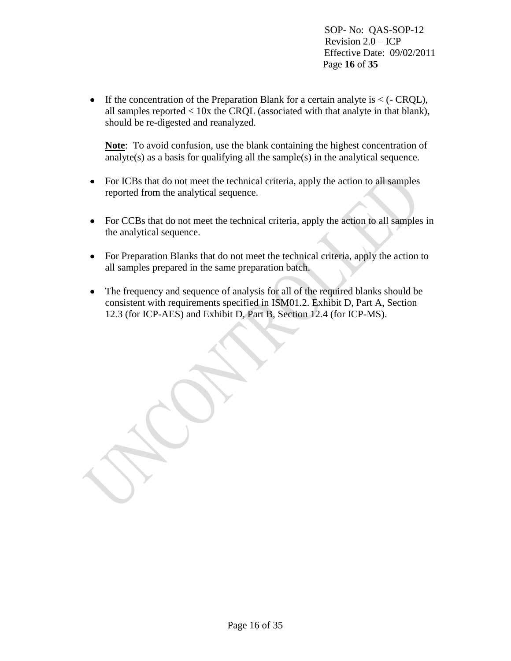SOP- No: QAS-SOP-12 Revision  $2.0 - ICP$  Effective Date: 09/02/2011 Page **16** of **35**

If the concentration of the Preparation Blank for a certain analyte is  $\lt$  ( $\lt$  CRQL), all samples reported  $< 10x$  the CRQL (associated with that analyte in that blank), should be re-digested and reanalyzed.

**Note**: To avoid confusion, use the blank containing the highest concentration of analyte(s) as a basis for qualifying all the sample(s) in the analytical sequence.

- For ICBs that do not meet the technical criteria, apply the action to all samples reported from the analytical sequence.
- For CCBs that do not meet the technical criteria, apply the action to all samples in the analytical sequence.
- For Preparation Blanks that do not meet the technical criteria, apply the action to all samples prepared in the same preparation batch.
- The frequency and sequence of analysis for all of the required blanks should be consistent with requirements specified in ISM01.2. Exhibit D, Part A, Section 12.3 (for ICP-AES) and Exhibit D, Part B, Section 12.4 (for ICP-MS).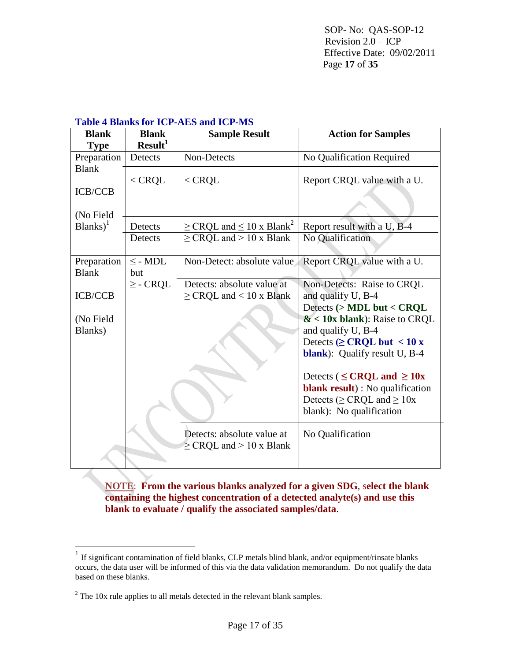#### **Table 4 Blanks for ICP-AES and ICP-MS**

| <b>Blank</b><br><b>Type</b>    | <b>Blank</b><br>Result <sup>1</sup> | <b>Sample Result</b>                                              | <b>Action for Samples</b>                                                                                                                                          |
|--------------------------------|-------------------------------------|-------------------------------------------------------------------|--------------------------------------------------------------------------------------------------------------------------------------------------------------------|
| Preparation                    | Detects                             | Non-Detects                                                       | No Qualification Required                                                                                                                                          |
| <b>Blank</b><br><b>ICB/CCB</b> | $<$ CRQL                            | $<$ CROL                                                          | Report CRQL value with a U.                                                                                                                                        |
| (No Field<br>$Blanks)^{1}$     | Detects                             | $\geq$ CRQL and $\leq$ 10 x Blank <sup>2</sup>                    | Report result with a U, B-4                                                                                                                                        |
|                                | Detects                             | $\geq$ CRQL and $> 10$ x Blank                                    | No Qualification                                                                                                                                                   |
| Preparation<br><b>Blank</b>    | $\leq$ - MDL<br>but                 | Non-Detect: absolute value                                        | Report CRQL value with a U.                                                                                                                                        |
| <b>ICB/CCB</b>                 | $\geq$ - CRQL                       | Detects: absolute value at<br>$\geq$ CRQL and < 10 x Blank        | Non-Detects: Raise to CRQL<br>and qualify U, B-4                                                                                                                   |
| (No Field<br>Blanks)           |                                     |                                                                   | Detects $($ > MDL but < CRQL<br>$&$ < 10x blank): Raise to CRQL<br>and qualify U, B-4<br>Detects ( $\geq$ CRQL but < 10 x<br><b>blank</b> ): Qualify result U, B-4 |
|                                |                                     |                                                                   | Detects ( $\leq$ CRQL and $\geq$ 10x<br><b>blank result</b> ) : No qualification<br>Detects ( $\geq$ CRQL and $\geq$ 10x<br>blank): No qualification               |
|                                |                                     | Detects: absolute value at<br>$\geq$ CRQL and $> 10 \times$ Blank | No Qualification                                                                                                                                                   |

**NOTE**: **From the various blanks analyzed for a given SDG**, s**elect the blank containing the highest concentration of a detected analyte(s) and use this blank to evaluate / qualify the associated samples/data**.

 1 If significant contamination of field blanks, CLP metals blind blank, and/or equipment/rinsate blanks occurs, the data user will be informed of this via the data validation memorandum. Do not qualify the data based on these blanks.

<sup>&</sup>lt;sup>2</sup> The 10x rule applies to all metals detected in the relevant blank samples.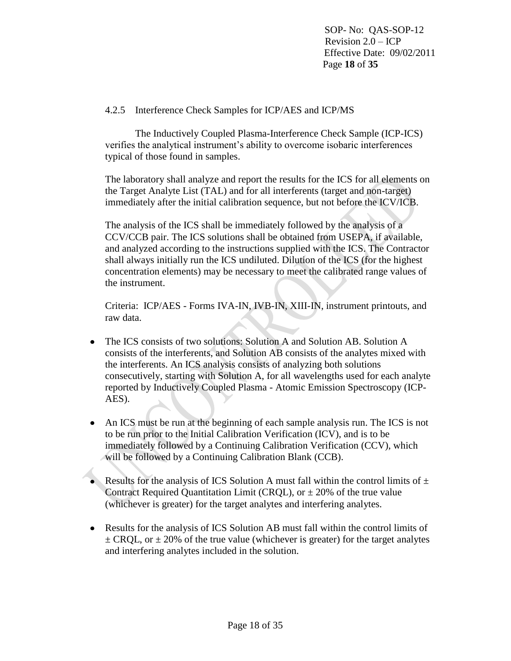SOP- No: QAS-SOP-12 Revision 2.0 – ICP Effective Date: 09/02/2011 Page **18** of **35**

## 4.2.5 Interference Check Samples for ICP/AES and ICP/MS

The Inductively Coupled Plasma-Interference Check Sample (ICP-ICS) verifies the analytical instrument's ability to overcome isobaric interferences typical of those found in samples.

The laboratory shall analyze and report the results for the ICS for all elements on the Target Analyte List (TAL) and for all interferents (target and non-target) immediately after the initial calibration sequence, but not before the ICV/ICB.

The analysis of the ICS shall be immediately followed by the analysis of a CCV/CCB pair. The ICS solutions shall be obtained from USEPA, if available, and analyzed according to the instructions supplied with the ICS. The Contractor shall always initially run the ICS undiluted. Dilution of the ICS (for the highest concentration elements) may be necessary to meet the calibrated range values of the instrument.

Criteria: ICP/AES - Forms IVA-IN, IVB-IN, XIII-IN, instrument printouts, and raw data.

- The ICS consists of two solutions: Solution A and Solution AB. Solution A  $\bullet$ consists of the interferents, and Solution AB consists of the analytes mixed with the interferents. An ICS analysis consists of analyzing both solutions consecutively, starting with Solution A, for all wavelengths used for each analyte reported by Inductively Coupled Plasma - Atomic Emission Spectroscopy (ICP-AES).
- An ICS must be run at the beginning of each sample analysis run. The ICS is not to be run prior to the Initial Calibration Verification (ICV), and is to be immediately followed by a Continuing Calibration Verification (CCV), which will be followed by a Continuing Calibration Blank (CCB).
- Results for the analysis of ICS Solution A must fall within the control limits of  $\pm$ Contract Required Quantitation Limit (CRQL), or  $\pm$  20% of the true value (whichever is greater) for the target analytes and interfering analytes.
- Results for the analysis of ICS Solution AB must fall within the control limits of  $\pm$  CRQL, or  $\pm$  20% of the true value (whichever is greater) for the target analytes and interfering analytes included in the solution.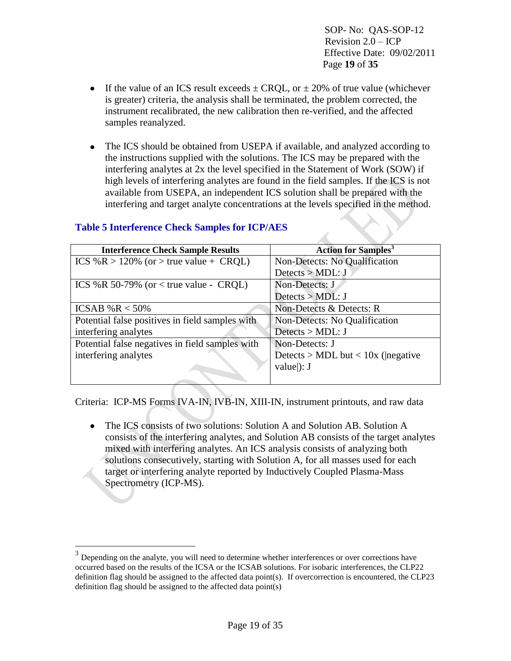SOP- No: QAS-SOP-12 Revision 2.0 – ICP Effective Date: 09/02/2011 Page **19** of **35**

- If the value of an ICS result exceeds  $\pm$  CROL, or  $\pm$  20% of true value (whichever is greater) criteria, the analysis shall be terminated, the problem corrected, the instrument recalibrated, the new calibration then re-verified, and the affected samples reanalyzed.
- The ICS should be obtained from USEPA if available, and analyzed according to the instructions supplied with the solutions. The ICS may be prepared with the interfering analytes at 2x the level specified in the Statement of Work (SOW) if high levels of interfering analytes are found in the field samples. If the ICS is not available from USEPA, an independent ICS solution shall be prepared with the interfering and target analyte concentrations at the levels specified in the method.

| <b>Interference Check Sample Results</b>        | <b>Action for Samples<sup>3</sup></b> |
|-------------------------------------------------|---------------------------------------|
| ICS %R > 120% (or > true value + CRQL)          | Non-Detects: No Qualification         |
|                                                 | Detects > MDL:J                       |
| ICS %R 50-79% (or $\lt$ true value - CRQL)      | Non-Detects: J                        |
|                                                 | Detects $>$ MDL: J                    |
| ICSAB % $R < 50\%$                              | Non-Detects & Detects: R              |
| Potential false positives in field samples with | Non-Detects: No Qualification         |
| interfering analytes                            | Detects > MDL: J                      |
| Potential false negatives in field samples with | Non-Detects: J                        |
| interfering analytes                            | Detects > MDL but < $10x$ ( negative  |
|                                                 | value $ $ : J                         |
|                                                 |                                       |

# **Table 5 Interference Check Samples for ICP/AES**

 $\overline{a}$ 

Criteria: ICP-MS Forms IVA-IN, IVB-IN, XIII-IN, instrument printouts, and raw data

• The ICS consists of two solutions: Solution A and Solution AB. Solution A consists of the interfering analytes, and Solution AB consists of the target analytes mixed with interfering analytes. An ICS analysis consists of analyzing both solutions consecutively, starting with Solution A, for all masses used for each target or interfering analyte reported by Inductively Coupled Plasma-Mass Spectrometry (ICP-MS).

<sup>3</sup> Depending on the analyte, you will need to determine whether interferences or over corrections have occurred based on the results of the ICSA or the ICSAB solutions. For isobaric interferences, the CLP22 definition flag should be assigned to the affected data point(s). If overcorrection is encountered, the CLP23 definition flag should be assigned to the affected data point(s)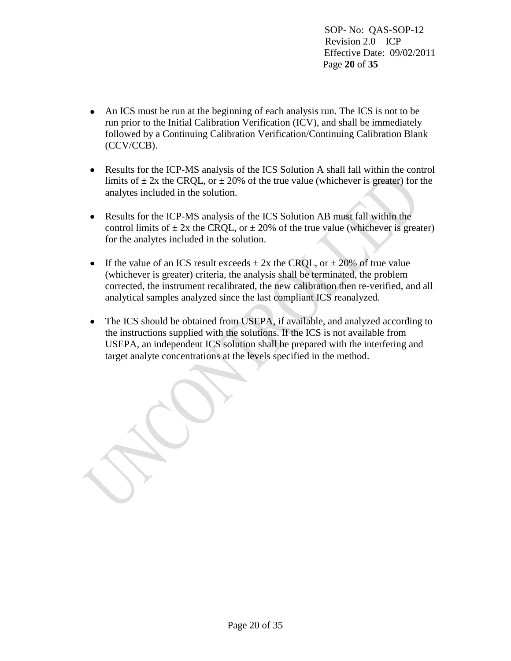SOP- No: QAS-SOP-12 Revision 2.0 – ICP Effective Date: 09/02/2011 Page **20** of **35**

- An ICS must be run at the beginning of each analysis run. The ICS is not to be run prior to the Initial Calibration Verification (ICV), and shall be immediately followed by a Continuing Calibration Verification/Continuing Calibration Blank (CCV/CCB).
- Results for the ICP-MS analysis of the ICS Solution A shall fall within the control limits of  $\pm$  2x the CRQL, or  $\pm$  20% of the true value (whichever is greater) for the analytes included in the solution.
- Results for the ICP-MS analysis of the ICS Solution AB must fall within the control limits of  $\pm$  2x the CRQL, or  $\pm$  20% of the true value (whichever is greater) for the analytes included in the solution.
- If the value of an ICS result exceeds  $\pm 2x$  the CRQL, or  $\pm 20\%$  of true value (whichever is greater) criteria, the analysis shall be terminated, the problem corrected, the instrument recalibrated, the new calibration then re-verified, and all analytical samples analyzed since the last compliant ICS reanalyzed.
- The ICS should be obtained from USEPA, if available, and analyzed according to the instructions supplied with the solutions. If the ICS is not available from USEPA, an independent ICS solution shall be prepared with the interfering and target analyte concentrations at the levels specified in the method.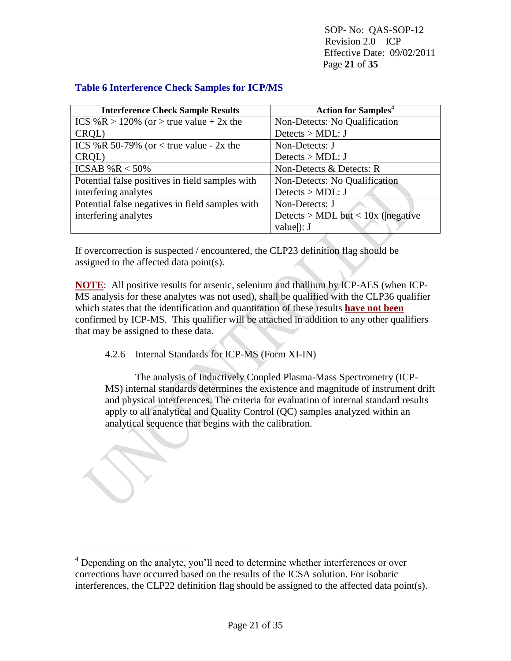SOP- No: QAS-SOP-12 Revision  $2.0 - ICP$  Effective Date: 09/02/2011 Page **21** of **35**

| <b>Interference Check Sample Results</b>        | <b>Action for Samples<sup>4</sup></b> |
|-------------------------------------------------|---------------------------------------|
| ICS %R > 120% (or > true value + 2x the         | Non-Detects: No Qualification         |
| CRQL)                                           | Detects > MDL: J                      |
| ICS %R 50-79% (or $\lt$ true value - 2x the     | Non-Detects: J                        |
| CRQL)                                           | Detects $>$ MDL: J                    |
| ICSAB % $R < 50\%$                              | Non-Detects & Detects: R              |
| Potential false positives in field samples with | Non-Detects: No Qualification         |
| interfering analytes                            | Detects > MDL: J                      |
| Potential false negatives in field samples with | Non-Detects: J                        |
| interfering analytes                            | Detects > MDL but < $10x$ ( negative  |
|                                                 | value $ $ : J                         |

## **Table 6 Interference Check Samples for ICP/MS**

If overcorrection is suspected / encountered, the CLP23 definition flag should be assigned to the affected data point(s).

**NOTE**: All positive results for arsenic, selenium and thallium by ICP-AES (when ICP-MS analysis for these analytes was not used), shall be qualified with the CLP36 qualifier which states that the identification and quantitation of these results **have not been** confirmed by ICP-MS. This qualifier will be attached in addition to any other qualifiers that may be assigned to these data.

4.2.6 Internal Standards for ICP-MS (Form XI-IN)

 $\overline{a}$ 

The analysis of Inductively Coupled Plasma-Mass Spectrometry (ICP-MS) internal standards determines the existence and magnitude of instrument drift and physical interferences. The criteria for evaluation of internal standard results apply to all analytical and Quality Control (QC) samples analyzed within an analytical sequence that begins with the calibration.

<sup>&</sup>lt;sup>4</sup> Depending on the analyte, you'll need to determine whether interferences or over corrections have occurred based on the results of the ICSA solution. For isobaric interferences, the CLP22 definition flag should be assigned to the affected data point(s).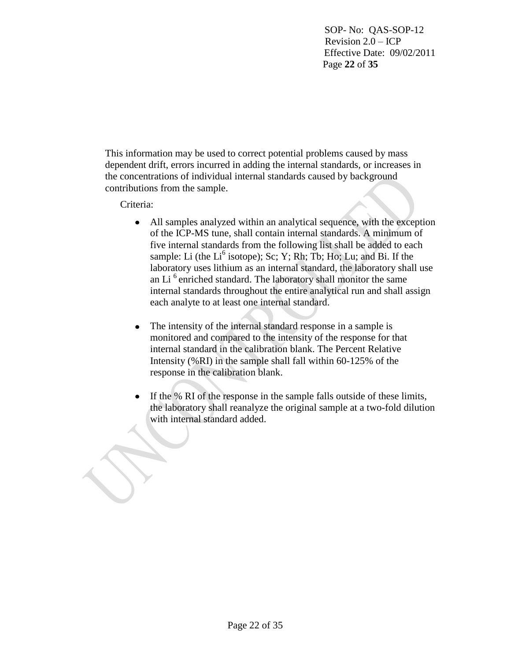SOP- No: QAS-SOP-12 Revision  $2.0 - ICP$  Effective Date: 09/02/2011 Page **22** of **35**

This information may be used to correct potential problems caused by mass dependent drift, errors incurred in adding the internal standards, or increases in the concentrations of individual internal standards caused by background contributions from the sample.

Criteria:

- All samples analyzed within an analytical sequence, with the exception of the ICP-MS tune, shall contain internal standards. A minimum of five internal standards from the following list shall be added to each sample: Li (the  $Li^6$  isotope); Sc; Y; Rh; Tb; Ho; Lu; and Bi. If the laboratory uses lithium as an internal standard, the laboratory shall use an Li<sup>6</sup> enriched standard. The laboratory shall monitor the same internal standards throughout the entire analytical run and shall assign each analyte to at least one internal standard.
- The intensity of the internal standard response in a sample is  $\bullet$ monitored and compared to the intensity of the response for that internal standard in the calibration blank. The Percent Relative Intensity (%RI) in the sample shall fall within 60-125% of the response in the calibration blank.
- If the % RI of the response in the sample falls outside of these limits, the laboratory shall reanalyze the original sample at a two-fold dilution with internal standard added.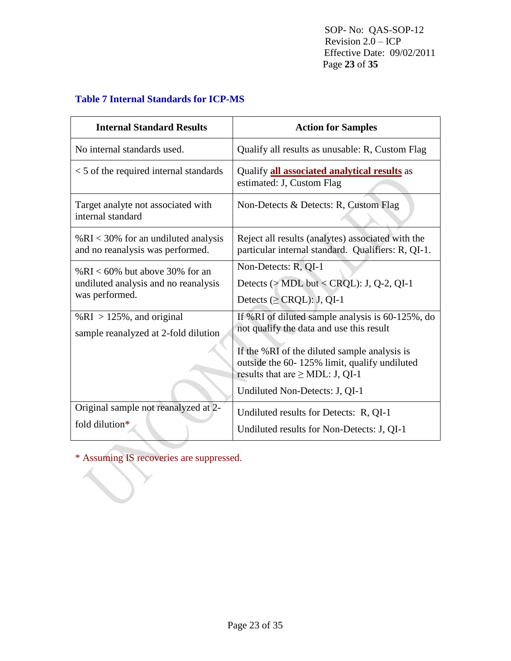SOP- No: QAS-SOP-12 Revision  $2.0 - ICP$  Effective Date: 09/02/2011 Page **23** of **35**

# **Table 7 Internal Standards for ICP-MS**

| <b>Internal Standard Results</b>                                                             | <b>Action for Samples</b>                                                                                                                                                                                                                                                 |
|----------------------------------------------------------------------------------------------|---------------------------------------------------------------------------------------------------------------------------------------------------------------------------------------------------------------------------------------------------------------------------|
| No internal standards used.                                                                  | Qualify all results as unusable: R, Custom Flag                                                                                                                                                                                                                           |
| $<$ 5 of the required internal standards                                                     | Qualify <b>all associated analytical results</b> as<br>estimated: J, Custom Flag                                                                                                                                                                                          |
| Target analyte not associated with<br>internal standard                                      | Non-Detects & Detects: R, Custom Flag                                                                                                                                                                                                                                     |
| % $RI < 30$ % for an undiluted analysis<br>and no reanalysis was performed.                  | Reject all results (analytes) associated with the<br>particular internal standard. Qualifiers: R, QI-1.                                                                                                                                                                   |
| % $RI < 60\%$ but above 30% for an<br>undiluted analysis and no reanalysis<br>was performed. | Non-Detects: R, QI-1<br>Detects ( $>$ MDL but < CRQL): J, Q-2, QI-1<br>Detects ( $\geq$ CRQL): J, QI-1                                                                                                                                                                    |
| % $RI > 125%$ , and original<br>sample reanalyzed at 2-fold dilution                         | If %RI of diluted sample analysis is $60-125%$ , do<br>not qualify the data and use this result<br>If the %RI of the diluted sample analysis is<br>outside the 60-125% limit, qualify undiluted<br>results that are $\geq$ MDL: J, QI-1<br>Undiluted Non-Detects: J, QI-1 |
| Original sample not reanalyzed at 2-<br>fold dilution*                                       | Undiluted results for Detects: R, QI-1<br>Undiluted results for Non-Detects: J, QI-1                                                                                                                                                                                      |

\* Assuming IS recoveries are suppressed.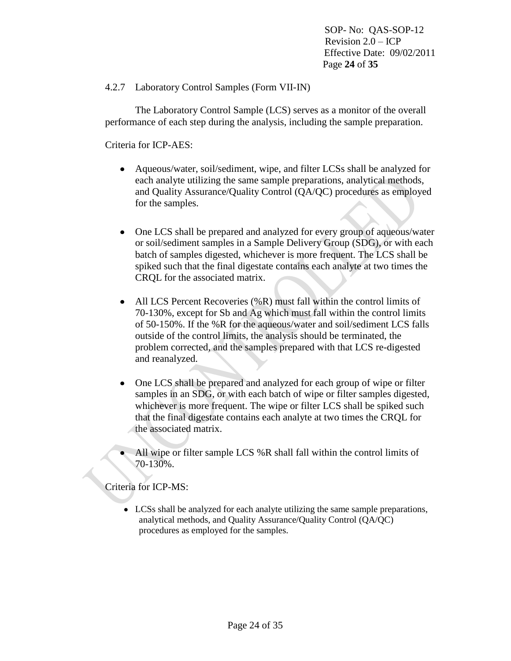SOP- No: QAS-SOP-12 Revision  $2.0 - ICP$  Effective Date: 09/02/2011 Page **24** of **35**

4.2.7 Laboratory Control Samples (Form VII-IN)

The Laboratory Control Sample (LCS) serves as a monitor of the overall performance of each step during the analysis, including the sample preparation.

Criteria for ICP-AES:

- $\bullet$ Aqueous/water, soil/sediment, wipe, and filter LCSs shall be analyzed for each analyte utilizing the same sample preparations, analytical methods, and Quality Assurance/Quality Control (QA/QC) procedures as employed for the samples.
- One LCS shall be prepared and analyzed for every group of aqueous/water  $\bullet$ or soil/sediment samples in a Sample Delivery Group (SDG), or with each batch of samples digested, whichever is more frequent. The LCS shall be spiked such that the final digestate contains each analyte at two times the CRQL for the associated matrix.
- All LCS Percent Recoveries (%R) must fall within the control limits of  $\bullet$ 70-130%, except for Sb and Ag which must fall within the control limits of 50-150%. If the %R for the aqueous/water and soil/sediment LCS falls outside of the control limits, the analysis should be terminated, the problem corrected, and the samples prepared with that LCS re-digested and reanalyzed.
- One LCS shall be prepared and analyzed for each group of wipe or filter  $\bullet$ samples in an SDG, or with each batch of wipe or filter samples digested, whichever is more frequent. The wipe or filter LCS shall be spiked such that the final digestate contains each analyte at two times the CRQL for the associated matrix.
- All wipe or filter sample LCS %R shall fall within the control limits of 70-130%.

Criteria for ICP-MS:

LCSs shall be analyzed for each analyte utilizing the same sample preparations, analytical methods, and Quality Assurance/Quality Control (QA/QC) procedures as employed for the samples.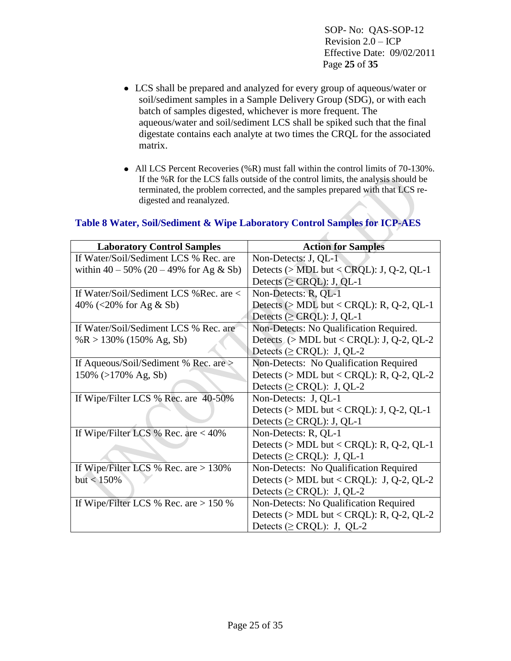SOP- No: QAS-SOP-12 Revision 2.0 – ICP Effective Date: 09/02/2011 Page **25** of **35**

- LCS shall be prepared and analyzed for every group of aqueous/water or soil/sediment samples in a Sample Delivery Group (SDG), or with each batch of samples digested, whichever is more frequent. The aqueous/water and soil/sediment LCS shall be spiked such that the final digestate contains each analyte at two times the CRQL for the associated matrix.
- All LCS Percent Recoveries (%R) must fall within the control limits of 70-130%. If the %R for the LCS falls outside of the control limits, the analysis should be terminated, the problem corrected, and the samples prepared with that LCS redigested and reanalyzed.

| <b>Laboratory Control Samples</b>           | <b>Action for Samples</b>                   |
|---------------------------------------------|---------------------------------------------|
| If Water/Soil/Sediment LCS % Rec. are       | Non-Detects: J, QL-1                        |
| within $40 - 50\%$ (20 – 49% for Ag & Sb)   | Detects ( $> MDL$ but < CRQL): J, Q-2, QL-1 |
|                                             | Detects ( $\geq$ CRQL): J, QL-1             |
| If Water/Soil/Sediment LCS % Rec. are $\lt$ | Non-Detects: R, QL-1                        |
| 40% (<20% for Ag & Sb)                      | Detects ( $> MDL$ but < CRQL): R, Q-2, QL-1 |
|                                             | Detects ( $\geq$ CRQL): J, QL-1             |
| If Water/Soil/Sediment LCS % Rec. are       | Non-Detects: No Qualification Required.     |
| %R > 130% (150% Ag, Sb)                     | Detects $(>MDL$ but < CRQL): J, Q-2, QL-2   |
|                                             | Detects ( $\geq$ CRQL): J, QL-2             |
| If Aqueous/Soil/Sediment % Rec. are >       | Non-Detects: No Qualification Required      |
| $150\%$ (>170% Ag, Sb)                      | Detects ( $>$ MDL but < CRQL): R, Q-2, QL-2 |
|                                             | Detects ( $\geq$ CRQL): J, QL-2             |
| If Wipe/Filter LCS % Rec. are 40-50%        | Non-Detects: J, QL-1                        |
|                                             | Detects ( $>$ MDL but < CRQL): J, Q-2, QL-1 |
|                                             | Detects ( $\geq$ CRQL): J, QL-1             |
| If Wipe/Filter LCS % Rec. are $<$ 40%       | Non-Detects: R, QL-1                        |
|                                             | Detects ( $> MDL$ but < CRQL): R, Q-2, QL-1 |
|                                             | Detects ( $\geq$ CRQL): J, QL-1             |
| If Wipe/Filter LCS % Rec. are $> 130\%$     | Non-Detects: No Qualification Required      |
| but < 150%                                  | Detects ( $>$ MDL but < CRQL): J, Q-2, QL-2 |
|                                             | Detects ( $\geq$ CRQL): J, QL-2             |
| If Wipe/Filter LCS % Rec. are $> 150$ %     | Non-Detects: No Qualification Required      |
|                                             | Detects ( $>$ MDL but < CRQL): R, Q-2, QL-2 |
|                                             | Detects ( $\geq$ CRQL): J, QL-2             |

# **Table 8 Water, Soil/Sediment & Wipe Laboratory Control Samples for ICP-AES**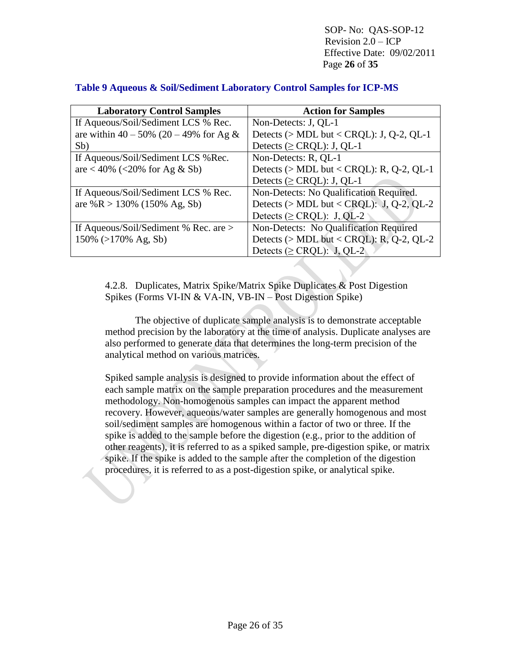SOP- No: QAS-SOP-12 Revision 2.0 – ICP Effective Date: 09/02/2011 Page **26** of **35**

| <b>Laboratory Control Samples</b>         | <b>Action for Samples</b>                   |
|-------------------------------------------|---------------------------------------------|
| If Aqueous/Soil/Sediment LCS % Rec.       | Non-Detects: J, QL-1                        |
| are within $40 - 50\%$ (20 - 49% for Ag & | Detects ( $>$ MDL but < CRQL): J, Q-2, QL-1 |
| Sb)                                       | Detects ( $\geq$ CRQL): J, QL-1             |
| If Aqueous/Soil/Sediment LCS % Rec.       | Non-Detects: R, QL-1                        |
| are < 40% (<20% for Ag & Sb)              | Detects ( $>$ MDL but < CRQL): R, Q-2, QL-1 |
|                                           | Detects ( $\geq$ CRQL): J, QL-1             |
| If Aqueous/Soil/Sediment LCS % Rec.       | Non-Detects: No Qualification Required.     |
| are %R > 130% (150% Ag, Sb)               | Detects ( $>$ MDL but < CRQL): J, Q-2, QL-2 |
|                                           | Detects ( $\geq$ CRQL): J, QL-2             |
| If Aqueous/Soil/Sediment % Rec. are $>$   | Non-Detects: No Qualification Required      |
| $150\%$ (>170% Ag, Sb)                    | Detects ( $>$ MDL but < CRQL): R, Q-2, QL-2 |
|                                           | Detects ( $\geq$ CRQL): J, QL-2             |

4.2.8. Duplicates, Matrix Spike/Matrix Spike Duplicates & Post Digestion Spikes (Forms VI-IN & VA-IN, VB-IN – Post Digestion Spike)

The objective of duplicate sample analysis is to demonstrate acceptable method precision by the laboratory at the time of analysis. Duplicate analyses are also performed to generate data that determines the long-term precision of the analytical method on various matrices.

Spiked sample analysis is designed to provide information about the effect of each sample matrix on the sample preparation procedures and the measurement methodology. Non-homogenous samples can impact the apparent method recovery. However, aqueous/water samples are generally homogenous and most soil/sediment samples are homogenous within a factor of two or three. If the spike is added to the sample before the digestion (e.g., prior to the addition of other reagents), it is referred to as a spiked sample, pre-digestion spike, or matrix spike. If the spike is added to the sample after the completion of the digestion procedures, it is referred to as a post-digestion spike, or analytical spike.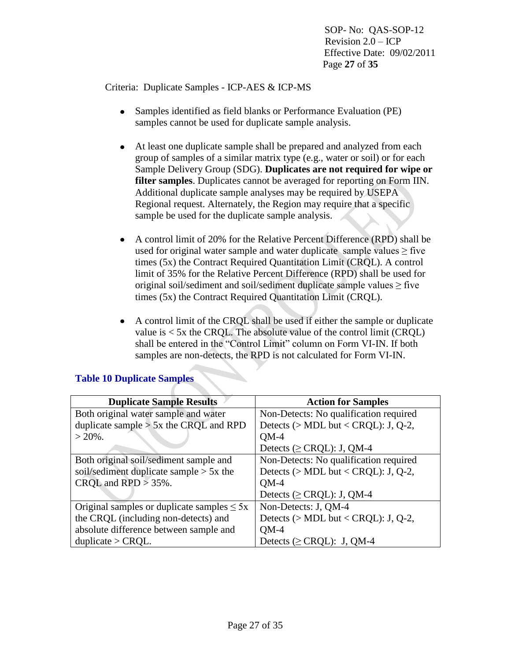SOP- No: QAS-SOP-12 Revision  $2.0 - ICP$  Effective Date: 09/02/2011 Page **27** of **35**

Criteria: Duplicate Samples - ICP-AES & ICP-MS

- Samples identified as field blanks or Performance Evaluation (PE)  $\bullet$ samples cannot be used for duplicate sample analysis.
- At least one duplicate sample shall be prepared and analyzed from each  $\bullet$ group of samples of a similar matrix type (e.g., water or soil) or for each Sample Delivery Group (SDG). **Duplicates are not required for wipe or filter samples**. Duplicates cannot be averaged for reporting on Form IIN. Additional duplicate sample analyses may be required by USEPA Regional request. Alternately, the Region may require that a specific sample be used for the duplicate sample analysis.
- A control limit of 20% for the Relative Percent Difference (RPD) shall be used for original water sample and water duplicate sample values  $\geq$  five times (5x) the Contract Required Quantitation Limit (CRQL). A control limit of 35% for the Relative Percent Difference (RPD) shall be used for original soil/sediment and soil/sediment duplicate sample values  $\geq$  five times (5x) the Contract Required Quantitation Limit (CRQL).
- A control limit of the CRQL shall be used if either the sample or duplicate  $\bullet$ value is  $< 5x$  the CRQL. The absolute value of the control limit (CRQL) shall be entered in the "Control Limit" column on Form VI-IN. If both samples are non-detects, the RPD is not calculated for Form VI-IN.

| <b>Duplicate Sample Results</b>                 | <b>Action for Samples</b>              |
|-------------------------------------------------|----------------------------------------|
| Both original water sample and water            | Non-Detects: No qualification required |
| duplicate sample $> 5x$ the CRQL and RPD        | Detects ( $> MDL$ but < CRQL): J, Q-2, |
| $> 20\%$ .                                      | $OM-4$                                 |
|                                                 | Detects ( $\geq$ CRQL): J, QM-4        |
| Both original soil/sediment sample and          | Non-Detects: No qualification required |
| soil/sediment duplicate sample $> 5x$ the       | Detects ( $>$ MDL but < CRQL): J, Q-2, |
| CRQL and $RPD > 35\%$ .                         | $OM-4$                                 |
|                                                 | Detects ( $\geq$ CRQL): J, QM-4        |
| Original samples or duplicate samples $\leq 5x$ | Non-Detects: J, QM-4                   |
| the CRQL (including non-detects) and            | Detects ( $> MDL$ but < CRQL): J, Q-2, |
| absolute difference between sample and          | $OM-4$                                 |
| duplicate $>$ CRQL.                             | Detects ( $\geq$ CRQL): J, QM-4        |

# **Table 10 Duplicate Samples**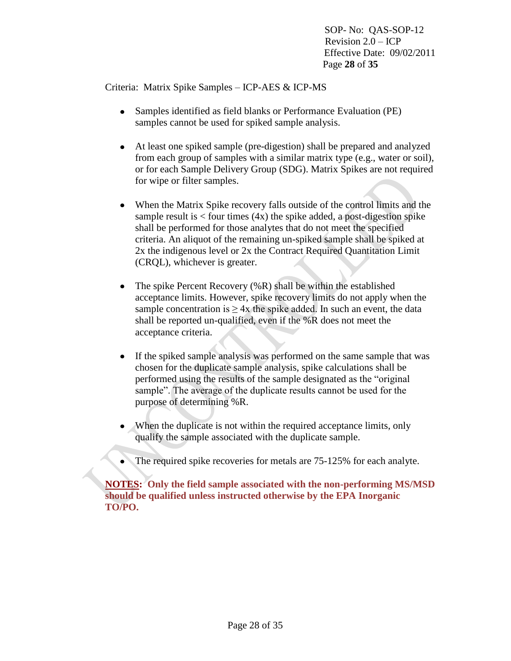SOP- No: QAS-SOP-12 Revision  $2.0 - ICP$  Effective Date: 09/02/2011 Page **28** of **35**

Criteria: Matrix Spike Samples – ICP-AES & ICP-MS

- Samples identified as field blanks or Performance Evaluation (PE)  $\bullet$ samples cannot be used for spiked sample analysis.
- $\bullet$ At least one spiked sample (pre-digestion) shall be prepared and analyzed from each group of samples with a similar matrix type (e.g., water or soil), or for each Sample Delivery Group (SDG). Matrix Spikes are not required for wipe or filter samples.
- When the Matrix Spike recovery falls outside of the control limits and the sample result is  $\lt$  four times (4x) the spike added, a post-digestion spike shall be performed for those analytes that do not meet the specified criteria. An aliquot of the remaining un-spiked sample shall be spiked at 2x the indigenous level or 2x the Contract Required Quantitation Limit (CRQL), whichever is greater.
- The spike Percent Recovery (%R) shall be within the established  $\bullet$ acceptance limits. However, spike recovery limits do not apply when the sample concentration is  $\geq$  4x the spike added. In such an event, the data shall be reported un-qualified, even if the %R does not meet the acceptance criteria.
- $\bullet$ If the spiked sample analysis was performed on the same sample that was chosen for the duplicate sample analysis, spike calculations shall be performed using the results of the sample designated as the "original sample". The average of the duplicate results cannot be used for the purpose of determining %R.
- When the duplicate is not within the required acceptance limits, only qualify the sample associated with the duplicate sample.
- The required spike recoveries for metals are 75-125% for each analyte.

**NOTES: Only the field sample associated with the non-performing MS/MSD should be qualified unless instructed otherwise by the EPA Inorganic TO/PO.**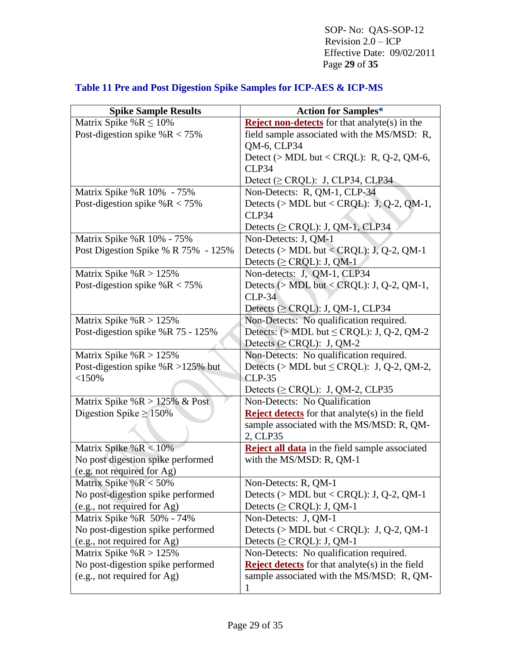SOP- No: QAS-SOP-12 Revision  $2.\overline{0}$  – ICP Effective Date: 09/02/2011 Page **29** of **35**

| <b>Spike Sample Results</b>                                     | <b>Action for Samples*</b>                                                     |
|-----------------------------------------------------------------|--------------------------------------------------------------------------------|
| Matrix Spike % $R \le 10\%$                                     | <b>Reject non-detects</b> for that analyte(s) in the                           |
| Post-digestion spike $%R < 75%$                                 | field sample associated with the MS/MSD: R,                                    |
|                                                                 | QM-6, CLP34                                                                    |
|                                                                 | Detect ( $>$ MDL but < CRQL): R, Q-2, QM-6,                                    |
|                                                                 | CLP34                                                                          |
|                                                                 | Detect ( $\geq$ CRQL): J, CLP34, CLP34                                         |
| Matrix Spike %R 10% - 75%                                       | Non-Detects: R, QM-1, CLP-34                                                   |
| Post-digestion spike $%R < 75%$                                 | Detects ( $> MDL$ but < CRQL): J, Q-2, QM-1,                                   |
|                                                                 | CLP34                                                                          |
|                                                                 | Detects ( $\geq$ CRQL): J, QM-1, CLP34                                         |
| Matrix Spike %R 10% - 75%                                       | Non-Detects: J, QM-1                                                           |
| Post Digestion Spike % R 75% - 125%                             | Detects ( $>$ MDL but < CRQL): J, Q-2, QM-1                                    |
|                                                                 | Detects ( $\geq$ CRQL): J, QM-1                                                |
| Matrix Spike % $R > 125%$                                       | Non-detects: J, QM-1, CLP34                                                    |
| Post-digestion spike $%R < 75%$                                 | Detects ( $>$ MDL but < CRQL): J, Q-2, QM-1,                                   |
|                                                                 | $CLP-34$                                                                       |
|                                                                 | Detects ( $\geq$ CRQL): J, QM-1, CLP34                                         |
| Matrix Spike % $R > 125%$                                       | Non-Detects: No qualification required.                                        |
| Post-digestion spike %R 75 - 125%                               | Detects: $(> MDL$ but $\leq$ CRQL): J, Q-2, QM-2                               |
|                                                                 | Detects ( $\geq$ CRQL): J, QM-2                                                |
| Matrix Spike % $R > 125%$                                       | Non-Detects: No qualification required.                                        |
| Post-digestion spike $%R >125%$ but                             | Detects (> MDL but $\leq$ CRQL): J, Q-2, QM-2,                                 |
| <150%                                                           | $CLP-35$                                                                       |
|                                                                 | Detects ( $\geq$ CRQL): J, QM-2, CLP35                                         |
| Matrix Spike % $R > 125%$ & Post                                | Non-Detects: No Qualification                                                  |
| Digestion Spike $\geq 150\%$                                    | <b>Reject detects</b> for that analyte(s) in the field                         |
|                                                                 | sample associated with the MS/MSD: R, QM-                                      |
|                                                                 | 2, CLP35                                                                       |
| Matrix Spike % $R < 10%$                                        | Reject all data in the field sample associated                                 |
| No post digestion spike performed<br>(e.g. not required for Ag) | with the MS/MSD: R, QM-1                                                       |
|                                                                 |                                                                                |
| Matrix Spike % $R < 50\%$<br>No post-digestion spike performed  | Non-Detects: R, QM-1                                                           |
|                                                                 | Detects $($ > MDL but < CRQL): J, Q-2, QM-1<br>Detects ( $\geq$ CRQL): J, QM-1 |
| (e.g., not required for Ag)<br>Matrix Spike %R 50% - 74%        | Non-Detects: J, QM-1                                                           |
| No post-digestion spike performed                               | Detects ( $>$ MDL but < CRQL): J, Q-2, QM-1                                    |
| (e.g., not required for Ag)                                     | Detects ( $\geq$ CRQL): J, QM-1                                                |
| Matrix Spike % $R > 125%$                                       | Non-Detects: No qualification required.                                        |
| No post-digestion spike performed                               | <b>Reject detects</b> for that analyte(s) in the field                         |
| (e.g., not required for Ag)                                     | sample associated with the MS/MSD: R, QM-                                      |
|                                                                 |                                                                                |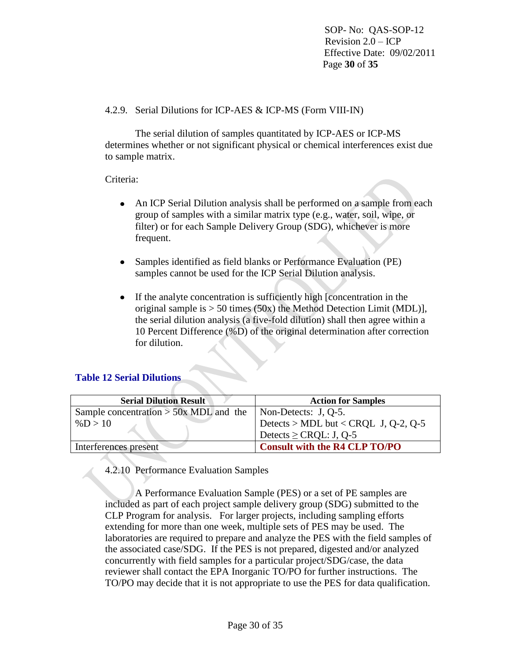SOP- No: QAS-SOP-12 Revision  $2.0 - ICP$  Effective Date: 09/02/2011 Page **30** of **35**

### 4.2.9. Serial Dilutions for ICP-AES & ICP-MS (Form VIII-IN)

The serial dilution of samples quantitated by ICP-AES or ICP-MS determines whether or not significant physical or chemical interferences exist due to sample matrix.

# Criteria:

- An ICP Serial Dilution analysis shall be performed on a sample from each  $\bullet$ group of samples with a similar matrix type (e.g., water, soil, wipe, or filter) or for each Sample Delivery Group (SDG), whichever is more frequent.
- Samples identified as field blanks or Performance Evaluation (PE) samples cannot be used for the ICP Serial Dilution analysis.
- If the analyte concentration is sufficiently high [concentration in the  $\bullet$ original sample is  $> 50$  times (50x) the Method Detection Limit (MDL)], the serial dilution analysis (a five-fold dilution) shall then agree within a 10 Percent Difference (%D) of the original determination after correction for dilution.

### **Table 12 Serial Dilutions**

| <b>Serial Dilution Result</b>            | <b>Action for Samples</b>            |
|------------------------------------------|--------------------------------------|
| Sample concentration $>$ 50x MDL and the | $\vert$ Non-Detects: J, Q-5.         |
| % $D > 10$                               | Detects > MDL but < CRQL J, Q-2, Q-5 |
|                                          | Detects $\geq$ CRQL: J, Q-5          |
| Interferences present                    | <b>Consult with the R4 CLP TO/PO</b> |

4.2.10 Performance Evaluation Samples

A Performance Evaluation Sample (PES) or a set of PE samples are included as part of each project sample delivery group (SDG) submitted to the CLP Program for analysis. For larger projects, including sampling efforts extending for more than one week, multiple sets of PES may be used. The laboratories are required to prepare and analyze the PES with the field samples of the associated case/SDG. If the PES is not prepared, digested and/or analyzed concurrently with field samples for a particular project/SDG/case, the data reviewer shall contact the EPA Inorganic TO/PO for further instructions. The TO/PO may decide that it is not appropriate to use the PES for data qualification.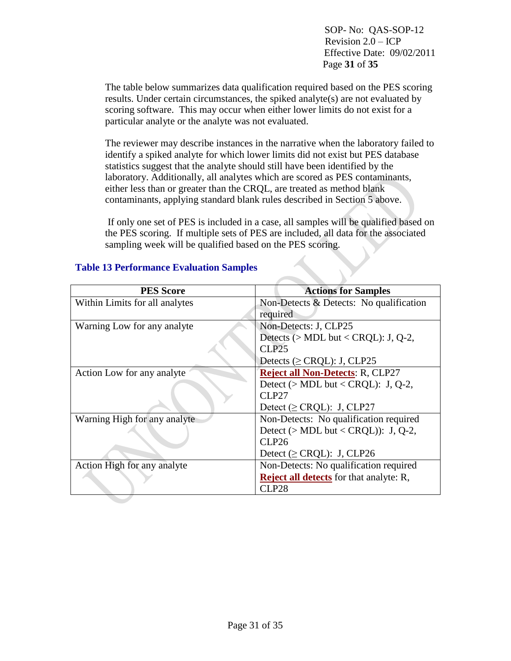SOP- No: QAS-SOP-12 Revision 2.0 – ICP Effective Date: 09/02/2011 Page **31** of **35**

The table below summarizes data qualification required based on the PES scoring results. Under certain circumstances, the spiked analyte(s) are not evaluated by scoring software. This may occur when either lower limits do not exist for a particular analyte or the analyte was not evaluated.

The reviewer may describe instances in the narrative when the laboratory failed to identify a spiked analyte for which lower limits did not exist but PES database statistics suggest that the analyte should still have been identified by the laboratory. Additionally, all analytes which are scored as PES contaminants, either less than or greater than the CRQL, are treated as method blank contaminants, applying standard blank rules described in Section 5 above.

If only one set of PES is included in a case, all samples will be qualified based on the PES scoring. If multiple sets of PES are included, all data for the associated sampling week will be qualified based on the PES scoring.

| <b>PES Score</b>               | <b>Actions for Samples</b>                     |
|--------------------------------|------------------------------------------------|
| Within Limits for all analytes | Non-Detects $\&$ Detects: No qualification     |
|                                | required                                       |
| Warning Low for any analyte    | Non-Detects: J, CLP25                          |
|                                | Detects ( $>$ MDL but < CRQL): J, Q-2,         |
|                                | CLP25                                          |
|                                | Detects ( $\geq$ CRQL): J, CLP25               |
| Action Low for any analyte     | <b>Reject all Non-Detects: R, CLP27</b>        |
|                                | Detect ( $>$ MDL but < CRQL): J, Q-2,          |
|                                | CLP <sub>27</sub>                              |
|                                | Detect ( $\geq$ CRQL): J, CLP27                |
| Warning High for any analyte   | Non-Detects: No qualification required         |
|                                | Detect ( $> MDL$ but < CRQL)): J, Q-2,         |
|                                | CLP26                                          |
|                                | Detect ( $\geq$ CRQL): J, CLP26                |
| Action High for any analyte    | Non-Detects: No qualification required         |
|                                | <b>Reject all detects</b> for that analyte: R, |
|                                | CLP <sub>28</sub>                              |

#### **Table 13 Performance Evaluation Samples**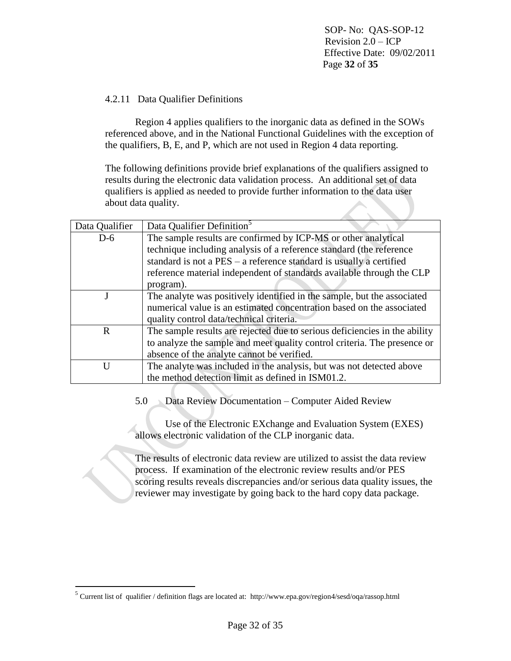SOP- No: QAS-SOP-12 Revision 2.0 – ICP Effective Date: 09/02/2011 Page **32** of **35**

## 4.2.11 Data Qualifier Definitions

Region 4 applies qualifiers to the inorganic data as defined in the SOWs referenced above, and in the National Functional Guidelines with the exception of the qualifiers, B, E, and P, which are not used in Region 4 data reporting.

The following definitions provide brief explanations of the qualifiers assigned to results during the electronic data validation process. An additional set of data qualifiers is applied as needed to provide further information to the data user about data quality.

| Data Qualifier | Data Qualifier Definition <sup>5</sup>                                     |
|----------------|----------------------------------------------------------------------------|
| $D-6$          | The sample results are confirmed by ICP-MS or other analytical             |
|                | technique including analysis of a reference standard (the reference        |
|                | standard is not a $PES - a$ reference standard is usually a certified      |
|                | reference material independent of standards available through the CLP      |
|                | program).                                                                  |
|                | The analyte was positively identified in the sample, but the associated    |
|                | numerical value is an estimated concentration based on the associated      |
|                | quality control data/technical criteria.                                   |
| R              | The sample results are rejected due to serious deficiencies in the ability |
|                | to analyze the sample and meet quality control criteria. The presence or   |
|                | absence of the analyte cannot be verified.                                 |
| I I            | The analyte was included in the analysis, but was not detected above       |
|                | the method detection limit as defined in ISM01.2.                          |

5.0 Data Review Documentation – Computer Aided Review

Use of the Electronic EXchange and Evaluation System (EXES) allows electronic validation of the CLP inorganic data.

The results of electronic data review are utilized to assist the data review process. If examination of the electronic review results and/or PES scoring results reveals discrepancies and/or serious data quality issues, the reviewer may investigate by going back to the hard copy data package.

 $\overline{a}$ 

<sup>&</sup>lt;sup>5</sup> Current list of qualifier / definition flags are located at: http://www.epa.gov/region4/sesd/oqa/rassop.html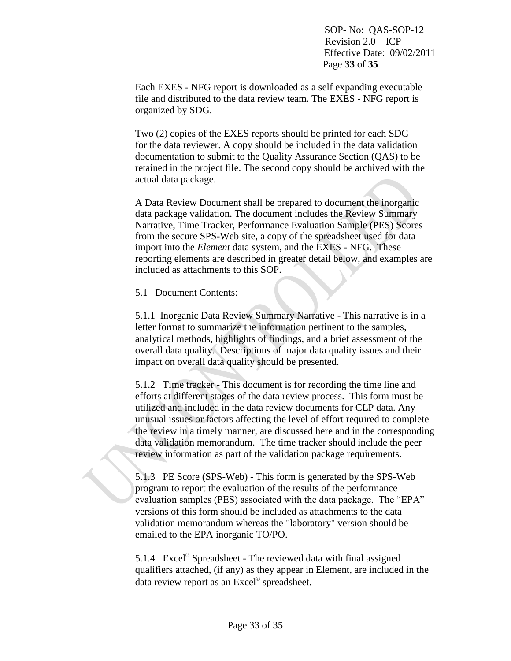Each EXES - NFG report is downloaded as a self expanding executable file and distributed to the data review team. The EXES - NFG report is organized by SDG.

Two (2) copies of the EXES reports should be printed for each SDG for the data reviewer. A copy should be included in the data validation documentation to submit to the Quality Assurance Section (QAS) to be retained in the project file. The second copy should be archived with the actual data package.

A Data Review Document shall be prepared to document the inorganic data package validation. The document includes the Review Summary Narrative, Time Tracker, Performance Evaluation Sample (PES) Scores from the secure SPS-Web site, a copy of the spreadsheet used for data import into the *Element* data system, and the EXES - NFG. These reporting elements are described in greater detail below, and examples are included as attachments to this SOP.

## 5.1 Document Contents:

5.1.1 Inorganic Data Review Summary Narrative - This narrative is in a letter format to summarize the information pertinent to the samples, analytical methods, highlights of findings, and a brief assessment of the overall data quality. Descriptions of major data quality issues and their impact on overall data quality should be presented.

5.1.2 Time tracker - This document is for recording the time line and efforts at different stages of the data review process. This form must be utilized and included in the data review documents for CLP data. Any unusual issues or factors affecting the level of effort required to complete the review in a timely manner, are discussed here and in the corresponding data validation memorandum. The time tracker should include the peer review information as part of the validation package requirements.

5.1.3 PE Score (SPS-Web) - This form is generated by the SPS-Web program to report the evaluation of the results of the performance evaluation samples (PES) associated with the data package. The "EPA" versions of this form should be included as attachments to the data validation memorandum whereas the "laboratory" version should be emailed to the EPA inorganic TO/PO.

5.1.4 Excel<sup>®</sup> Spreadsheet - The reviewed data with final assigned qualifiers attached, (if any) as they appear in Element, are included in the data review report as an Excel® spreadsheet.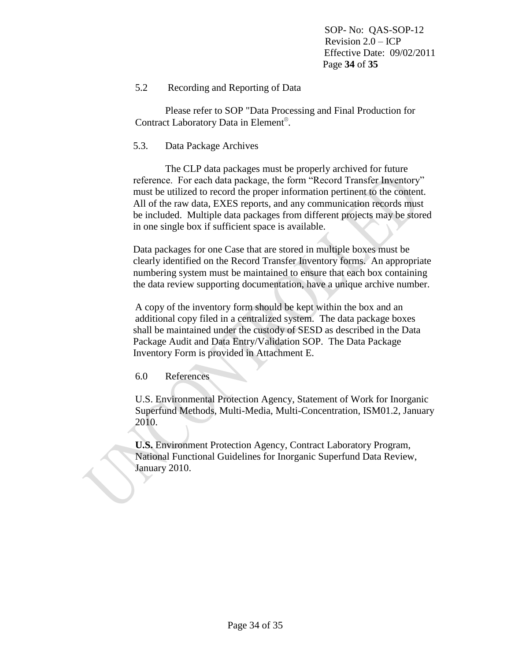SOP- No: QAS-SOP-12 Revision 2.0 – ICP Effective Date: 09/02/2011 Page **34** of **35**

# 5.2 Recording and Reporting of Data

Please refer to SOP "Data Processing and Final Production for Contract Laboratory Data in Element® .

### 5.3. Data Package Archives

The CLP data packages must be properly archived for future reference. For each data package, the form "Record Transfer Inventory" must be utilized to record the proper information pertinent to the content. All of the raw data, EXES reports, and any communication records must be included. Multiple data packages from different projects may be stored in one single box if sufficient space is available.

Data packages for one Case that are stored in multiple boxes must be clearly identified on the Record Transfer Inventory forms. An appropriate numbering system must be maintained to ensure that each box containing the data review supporting documentation, have a unique archive number.

A copy of the inventory form should be kept within the box and an additional copy filed in a centralized system. The data package boxes shall be maintained under the custody of SESD as described in the Data Package Audit and Data Entry/Validation SOP. The Data Package Inventory Form is provided in Attachment E.

6.0 References

U.S. Environmental Protection Agency, Statement of Work for Inorganic Superfund Methods, Multi-Media, Multi-Concentration, ISM01.2, January 2010.

**U.S.** Environment Protection Agency, Contract Laboratory Program, National Functional Guidelines for Inorganic Superfund Data Review, January 2010.